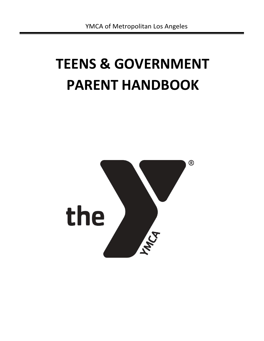# **TEENS & GOVERNMENT PARENT HANDBOOK**

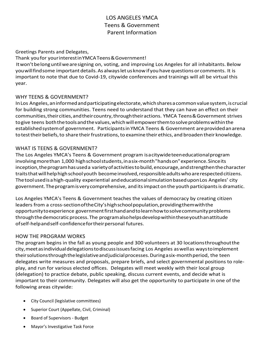# LOS ANGELES YMCA Teens & Government Parent Information

Greetings Parents and Delegates,

Thank youfor yourinterestinYMCATeens&Government!

Itwon'tbelonguntilwearesigning on, voting, and improving Los Angeles for all inhabitants. Below youwillfindsome important details.As alwayslet us knowif youhave questions or comments. It is important to note that due to Covid-19, citywide conferences and trainings will all be virtual this year.

## WHY TEENS & GOVERNMENT?

In Los Angeles, an informed and participating electorate, which shares a common value system, is crucial for building strong communities. Teens need to understand that they can have an effect on their communities, their cities, and their country, through their actions. YMCA Teens & Government strives togive teens boththetoolsandthevalues,whichwillempowerthemtosolveproblemswithinthe established system of government. Participants in YMCA Teens & Government are provided an arena to test their beliefs, to share their frustrations, to examine their ethics, and broaden their knowledge.

## WHAT IS TEENS & GOVERNMENT?

The Los Angeles YMCA's Teens & Government program isacitywideteeneducationalprogram involvingmorethan 1,000 highschoolstudents,inasix-month"handson"experience.Sinceits inception,theprogramhasuseda varietyofactivitiestobuild,encourage,andstrengthenthecharacter traits that will help high school youth become involved, responsible adults who are respected citizens. Thetoolusedisahigh-quality experiential andeducationalsimulationbaseduponLos Angeles' city government.Theprogramisverycomprehensive, and itsimpact on the youth participantsis dramatic.

Los Angeles YMCA's Teens & Government teaches the values of democracy by creating citizen leaders from a cross-section of the City's high school population, providing them with the opportunitytoexperience governmentfirsthandandtolearnhowtosolvecommunityproblems through the democratic process. The program also helps develop within these youthan attitude ofself-helpandself-confidencefortheirpersonal futures.

#### HOW THE PROGRAM WORKS

The program begins in the fall as young people and 300 volunteers at 30 locationsthroughoutthe city,meetasindividualdelegationstodiscussissuesfacing Los Angeles aswellas waystoimplement theirsolutionsthroughthelegislativeandjudicialprocesses.Duringasix-monthperiod, the teen delegates write measures and proposals, prepare briefs, and select governmental positions to roleplay, and run for various elected offices. Delegates will meet weekly with their local group (delegation) to practice debate, public speaking, discuss current events, and decide what is important to their community. Delegates will also get the opportunity to participate in one of the following areas citywide:

- City Council (legislative committees)
- Superior Court (Appellate, Civil, Criminal)
- Board of Supervisors Budget
- Mayor's Investigative Task Force